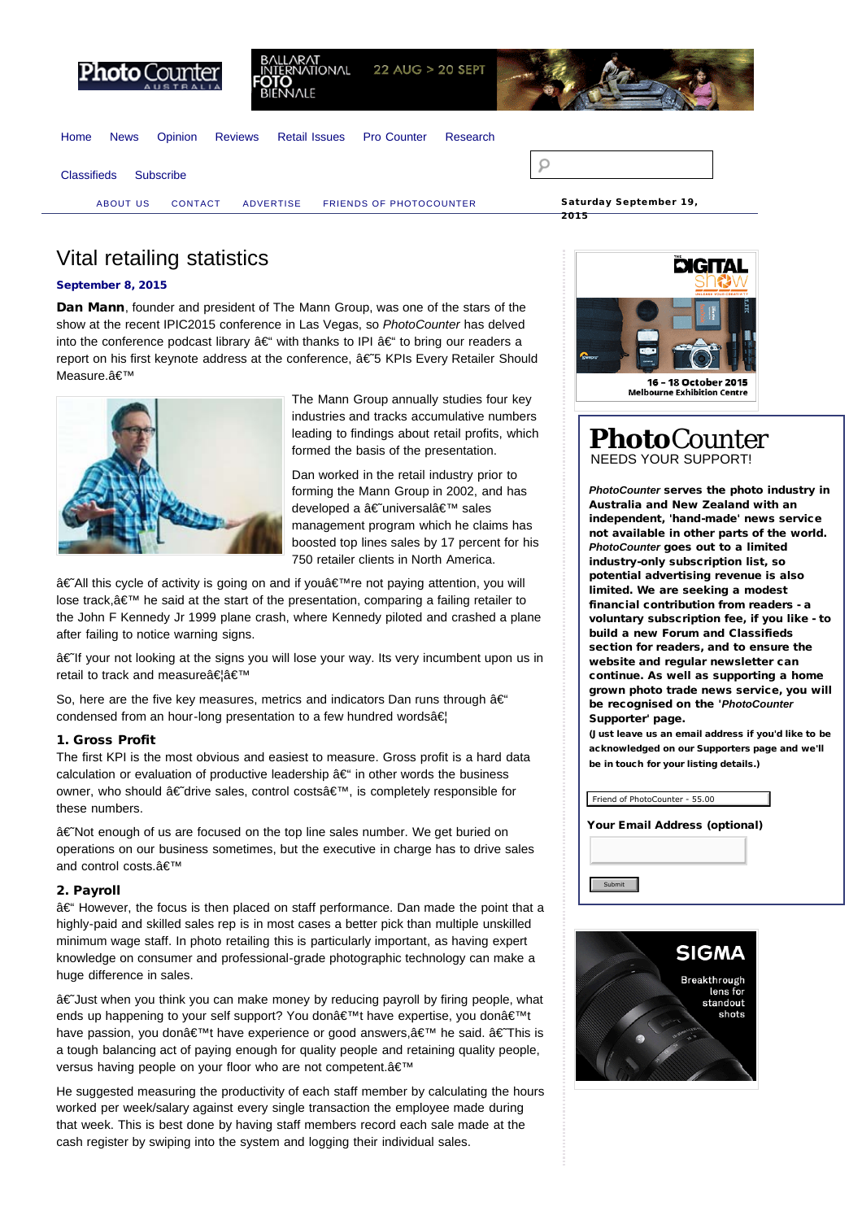<span id="page-0-0"></span>

**ONAL** 22 AUG > 20 SEPT

[Home](http://www.photocounter.com.au/) [News](http://www.photocounter.com.au/category/news/) [Opinion](http://www.photocounter.com.au/category/opinion/) [Reviews](http://www.photoreview.com.au/reviews/) [Retail Issues](http://www.photocounter.com.au/category/retail-issues/) [Pro Counter](http://procounter.com.au/) [Research](http://www.photocounter.com.au/category/research/)



[ABOUT US](http://www.photocounter.com.au/about-us/) [CONTACT](http://www.photocounter.com.au/contact/) [ADVERTISE](http://www.photocounter.com.au/advertising/) [FRIENDS OF PHOTOCOUNTER](http://www.photocounter.com.au/friends-of-photocounter/)



2015

Vital retailing statistics

# [September 8, 2015](#page-0-0)

Dan Mann, founder and president of The Mann Group, was one of the stars of the show at the recent IPIC2015 conference in Las Vegas, so *PhotoCounter* has delved into the conference podcast library  $\hat{a} \in \hat{\mathcal{C}}$  with thanks to IPI  $\hat{a} \in \hat{\mathcal{C}}$  to bring our readers a report on his first keynote address at the conference,  $â€5$  KPIs Every Retailer Should Measure.'



The Mann Group annually studies four key industries and tracks accumulative numbers leading to findings about retail profits, which formed the basis of the presentation.

Dan worked in the retail industry prior to forming the Mann Group in 2002, and has developed a â€universal' sales management program which he claims has boosted top lines sales by 17 percent for his 750 retailer clients in North America.

†All this cycle of activity is going on and if you a ime not paying attention, you will lose track, $\hat{\mathbf{a}} \in \mathbb{M}$  he said at the start of the presentation, comparing a failing retailer to the John F Kennedy Jr 1999 plane crash, where Kennedy piloted and crashed a plane after failing to notice warning signs.

†If your not looking at the signs you will lose your way. Its very incumbent upon us in retail to track and measureâ€â€™

So, here are the five key measures, metrics and indicators Dan runs through  $\hat{a}\in$ condensed from an hour-long presentation to a few hundred wordsâ€

## 1. Gross Profit

The first KPI is the most obvious and easiest to measure. Gross profit is a hard data calculation or evaluation of productive leadership  $\hat{a} \in \hat{ }$  in other words the business owner, who should â€drive sales, control costs', is completely responsible for these numbers.

â€Not enough of us are focused on the top line sales number. We get buried on operations on our business sometimes, but the executive in charge has to drive sales and control costs.'

# 2. Payroll

 $A \in \mathcal{E}$  However, the focus is then placed on staff performance. Dan made the point that a highly-paid and skilled sales rep is in most cases a better pick than multiple unskilled minimum wage staff. In photo retailing this is particularly important, as having expert knowledge on consumer and professional-grade photographic technology can make a huge difference in sales.

†Just when you think you can make money by reducing payroll by firing people, what ends up happening to your self support? You don't have expertise, you donâ€<sup>™t</sup> have passion, you donâ€<sup>™</sup>t have experience or good answers, ' he said.  $â$  EThis is a tough balancing act of paying enough for quality people and retaining quality people, versus having people on your floor who are not competent.'

He suggested measuring the productivity of each staff member by calculating the hours worked per week/salary against every single transaction the employee made during that week. This is best done by having staff members record each sale made at the cash register by swiping into the system and logging their individual sales.



# **Photo**Counter NEEDS YOUR SUPPORT!

*PhotoCounter* serves the photo industry in Australia and New Zealand with an independent, 'hand-made' news service not available in other parts of the world. *PhotoCounter* goes out to a limited industry-only subscription list, so potential advertising revenue is also limited. We are seeking a modest financial contribution from readers - a voluntary subscription fee, if you like - to build a new Forum and Classifieds section for readers, and to ensure the website and regular newsletter can continue. As well as supporting a home grown photo trade news service, you will be recognised on the '*PhotoCounter* Supporter' page.

(Just leave us an email address if you'd like to be acknowledged on our Supporters page and we'll be in touch for your listing details.)

| Friend of PhotoCounter - 55.00 |  |  |  |  |
|--------------------------------|--|--|--|--|
| Your Email Address (optional)  |  |  |  |  |
|                                |  |  |  |  |
| Submit                         |  |  |  |  |

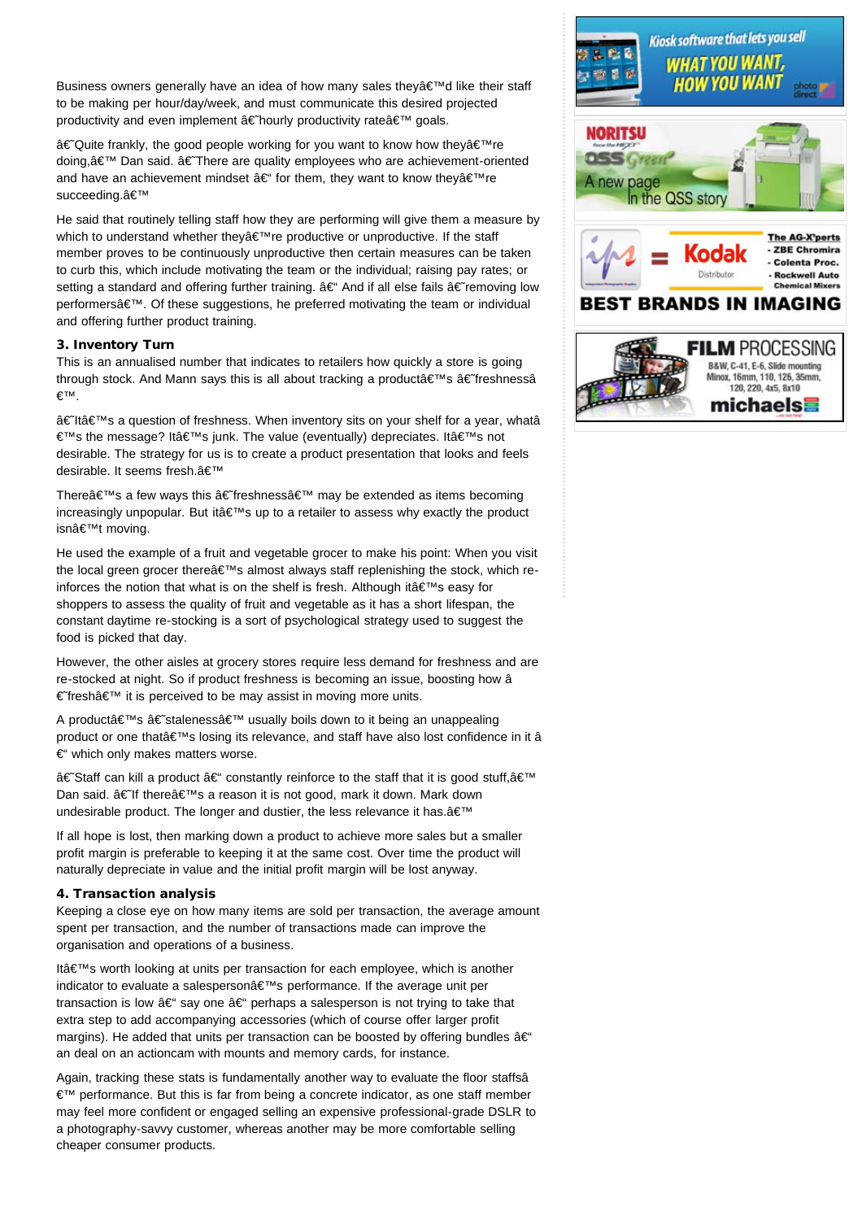Business owners generally have an idea of how many sales they $\hat{a}\in\mathbb{T}^{\mathbb{N}}$ d like their staff to be making per hour/day/week, and must communicate this desired projected productivity and even implement  $\hat{a} \in$  hourly productivity rate $\hat{a} \in \mathbb{N}$  goals.

†Quite frankly, the good people working for you want to know how theyâ€<sup>™</sup>re doing,  $A \in \mathbb{N}$  Dan said.  $A \in \mathbb{N}$  There are quality employees who are achievement-oriented and have an achievement mindset  $\hat{a} \in \hat{f}$  for them, they want to know they $\hat{a} \in \hat{f}^{\text{M}}$ re succeeding.'

He said that routinely telling staff how they are performing will give them a measure by which to understand whether they  $\hat{\epsilon}^{\text{TM}}$ re productive or unproductive. If the staff member proves to be continuously unproductive then certain measures can be taken to curb this, which include motivating the team or the individual; raising pay rates; or setting a standard and offering further training.  $\hat{a} \in \hat{A}$  And if all else fails  $\hat{a} \in \hat{A}$  removing low performersâ€<sup>™</sup>. Of these suggestions, he preferred motivating the team or individual and offering further product training.

#### 3. Inventory Turn

This is an annualised number that indicates to retailers how quickly a store is going through stock. And Mann says this is all about tracking a product $\hat{\mathbf{a}} \in \mathbb{M}$ s â $\hat{\mathbf{c}}$  freshnessâ €™.

â€ltâ€<sup>™</sup>s a question of freshness. When inventory sits on your shelf for a year, whatâ €™s the message? It's junk. The value (eventually) depreciates. It's not desirable. The strategy for us is to create a product presentation that looks and feels desirable. It seems fresh.a€™

There $\hat{\mathbf{a}} \in \mathbb{M}$  a few ways this  $\hat{\mathbf{a}} \in \mathbb{M}$  freshness $\hat{\mathbf{a}} \in \mathbb{M}$  may be extended as items becoming increasingly unpopular. But it $\hat{\mathbf{a}} \in \mathbb{M}$  up to a retailer to assess why exactly the product isn't moving.

He used the example of a fruit and vegetable grocer to make his point: When you visit the local green grocer there  $\hat{\epsilon} \in \mathbb{N}$  almost always staff replenishing the stock, which reinforces the notion that what is on the shelf is fresh. Although it $a \in \mathbb{N}$ s easy for shoppers to assess the quality of fruit and vegetable as it has a short lifespan, the constant daytime re-stocking is a sort of psychological strategy used to suggest the food is picked that day.

However, the other aisles at grocery stores require less demand for freshness and are re-stocked at night. So if product freshness is becoming an issue, boosting how â € fresh $â$ €™ it is perceived to be may assist in moving more units.

A product's â€staleness' usually boils down to it being an unappealing product or one that's losing its relevance, and staff have also lost confidence in it â €" which only makes matters worse.

†Staff can kill a product †constantly reinforce to the staff that it is good stuff, ' Dan said. â€lf there's a reason it is not good, mark it down. Mark down undesirable product. The longer and dustier, the less relevance it has. a€™

If all hope is lost, then marking down a product to achieve more sales but a smaller profit margin is preferable to keeping it at the same cost. Over time the product will naturally depreciate in value and the initial profit margin will be lost anyway.

# 4. Transaction analysis

Keeping a close eye on how many items are sold per transaction, the average amount spent per transaction, and the number of transactions made can improve the organisation and operations of a business.

It's worth looking at units per transaction for each employee, which is another indicator to evaluate a salesperson's performance. If the average unit per transaction is low  $\hat{a}\in$  say one  $\hat{a}\in$  perhaps a salesperson is not trying to take that extra step to add accompanying accessories (which of course offer larger profit margins). He added that units per transaction can be boosted by offering bundles  $\hat{a} \in \hat{a}$ an deal on an actioncam with mounts and memory cards, for instance.

Again, tracking these stats is fundamentally another way to evaluate the floor staffsâ €™ performance. But this is far from being a concrete indicator, as one staff member may feel more confident or engaged selling an expensive professional-grade DSLR to a photography-savvy customer, whereas another may be more comfortable selling cheaper consumer products.

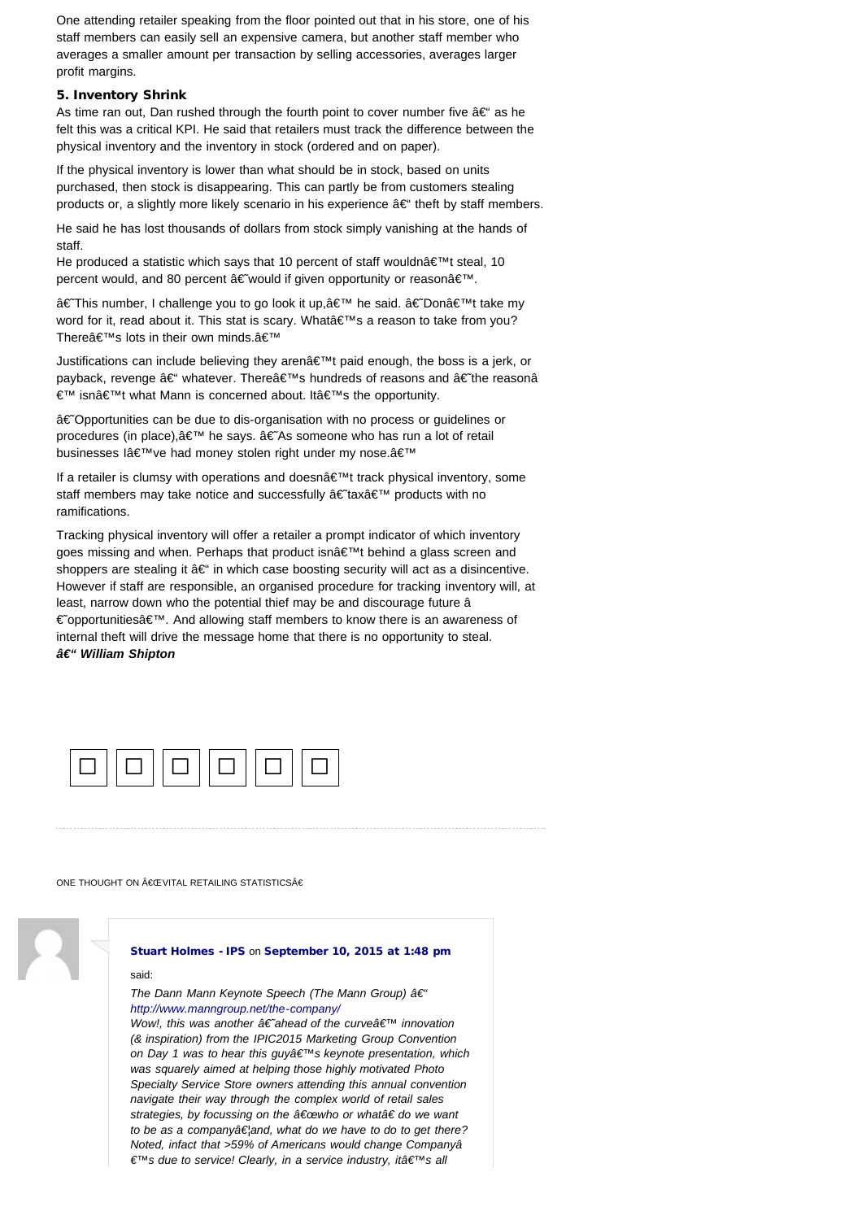One attending retailer speaking from the floor pointed out that in his store, one of his staff members can easily sell an expensive camera, but another staff member who averages a smaller amount per transaction by selling accessories, averages larger profit margins.

#### 5. Inventory Shrink

As time ran out, Dan rushed through the fourth point to cover number five  $a \in \alpha$  as he felt this was a critical KPI. He said that retailers must track the difference between the physical inventory and the inventory in stock (ordered and on paper).

If the physical inventory is lower than what should be in stock, based on units purchased, then stock is disappearing. This can partly be from customers stealing products or, a slightly more likely scenario in his experience  $\hat{a} \in \hat{B}^*$  theft by staff members.

He said he has lost thousands of dollars from stock simply vanishing at the hands of staff.

He produced a statistic which says that 10 percent of staff wouldn $\hat{a} \in \mathbb{M}$ t steal, 10 percent would, and 80 percent  $\hat{a} \in W$  would if given opportunity or reason $\hat{a} \in W$ .

â€This number, I challenge you to go look it up, ' he said.  $a \in$ Don't take my word for it, read about it. This stat is scary. Whata€<sup>™</sup>s a reason to take from you? There's lots in their own minds.'

Justifications can include believing they aren $\hat{\mathbf{a}} \in \mathbb{M}$ t paid enough, the boss is a jerk, or payback, revenge â€' whatever. Thereâ€<sup>™</sup>s hundreds of reasons and †the reasonâ €™ isn't what Mann is concerned about. It's the opportunity.

†Opportunities can be due to dis-organisation with no process or guidelines or procedures (in place),' he says. â€As someone who has run a lot of retail businesses l've had money stolen right under my nose.'

If a retailer is clumsy with operations and doesn't track physical inventory, some staff members may take notice and successfully †tax' products with no ramifications.

Tracking physical inventory will offer a retailer a prompt indicator of which inventory goes missing and when. Perhaps that product isn $\hat{\mathbf{a}} \in \mathbb{M}$ t behind a glass screen and shoppers are stealing it  $a \in \mathcal{C}$  in which case boosting security will act as a disincentive. However if staff are responsible, an organised procedure for tracking inventory will, at least, narrow down who the potential thief may be and discourage future â € opportunities a E<sup>™</sup>. And allowing staff members to know there is an awareness of internal theft will drive the message home that there is no opportunity to steal. *– William Shipton*



ONE THOUGHT ON €CEVITAL RETAILING STATISTICS€



# [Stuart Holmes - IPS](http://www.iphoto.net.au/) on [September 10, 2015 at 1:48 pm](#page-3-0)

#### said:

*The Dann Mann Keynote Speech (The Mann Group)*  $\hat{a} \in \hat{a}$ *<http://www.manngroup.net/the-company/>*

*Wow!, this was another â€* ahead of the curvea<sup>€™</sup> innovation *(& inspiration) from the IPIC2015 Marketing Group Convention on Day 1 was to hear this guy's keynote presentation, which was squarely aimed at helping those highly motivated Photo Specialty Service Store owners attending this annual convention navigate their way through the complex world of retail sales* strategies, by focussing on the "who or what†do we want *to be as a companyâ€land, what do we have to do to get there? Noted, infact that >59% of Americans would change Companyâ*  $€^{7M}$ s due to service! Clearly, in a service industry, itâ€<sup>7M</sup>s all